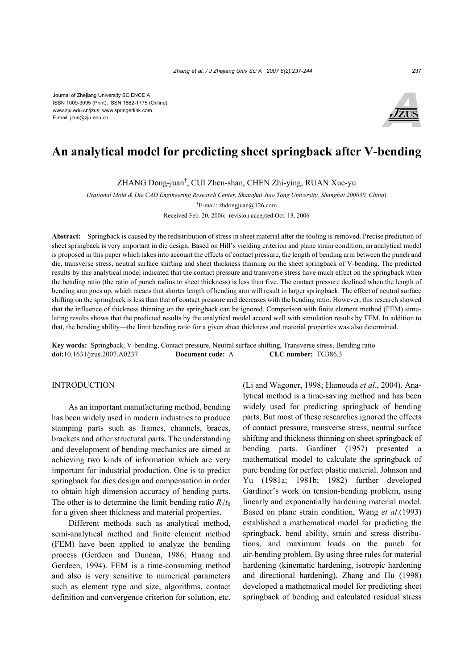

# **An analytical model for predicting sheet springback after V-bending**

ZHANG Dong-juan† , CUI Zhen-shan, CHEN Zhi-ying, RUAN Xue-yu

(*National Mold & Die CAD Engineering Research Center, Shanghai Jiao Tong University, Shanghai 200030, China*) † E-mail: zhdongjuan@126.com

Received Feb. 20, 2006; revision accepted Oct. 13, 2006

**Abstract:** Springback is caused by the redistribution of stress in sheet material after the tooling is removed. Precise prediction of sheet springback is very important in die design. Based on Hill's yielding criterion and plane strain condition, an analytical model is proposed in this paper which takes into account the effects of contact pressure, the length of bending arm between the punch and die, transverse stress, neutral surface shifting and sheet thickness thinning on the sheet springback of V-bending. The predicted results by this analytical model indicated that the contact pressure and transverse stress have much effect on the springback when the bending ratio (the ratio of punch radius to sheet thickness) is less than five. The contact pressure declined when the length of bending arm goes up, which means that shorter length of bending arm will result in larger springback. The effect of neutral surface shifting on the springback is less than that of contact pressure and decreases with the bending ratio. However, this research showed that the influence of thickness thinning on the springback can be ignored. Comparison with finite element method (FEM) simulating results shows that the predicted results by the analytical model accord well with simulation results by FEM. In addition to that, the bending ability—the limit bending ratio for a given sheet thickness and material properties was also determined.

**Key words:** Springback, V-bending, Contact pressure, Neutral surface shifting, Transverse stress, Bending ratio **doi:**10.1631/jzus.2007.A0237 **Document code:** A **CLC number:** TG386.3

#### INTRODUCTION

As an important manufacturing method, bending has been widely used in modern industries to produce stamping parts such as frames, channels, braces, brackets and other structural parts. The understanding and development of bending mechanics are aimed at achieving two kinds of information which are very important for industrial production. One is to predict springback for dies design and compensation in order to obtain high dimension accuracy of bending parts. The other is to determine the limit bending ratio  $R_i/t_0$ for a given sheet thickness and material properties.

Different methods such as analytical method, semi-analytical method and finite element method (FEM) have been applied to analyze the bending process (Gerdeen and Duncan, 1986; Huang and Gerdeen, 1994). FEM is a time-consuming method and also is very sensitive to numerical parameters such as element type and size, algorithms, contact definition and convergence criterion for solution, etc.

(Li and Wagoner, 1998; Hamouda *et al*., 2004). Analytical method is a time-saving method and has been widely used for predicting springback of bending parts. But most of these researches ignored the effects of contact pressure, transverse stress, neutral surface shifting and thickness thinning on sheet springback of bending parts. Gardiner (1957) presented a mathematical model to calculate the springback of pure bending for perfect plastic material. Johnson and Yu (1981a; 1981b; 1982) further developed Gardiner's work on tension-bending problem, using linearly and exponentially hardening material model. Based on plane strain condition, Wang *et al*.(1993) established a mathematical model for predicting the springback, bend ability, strain and stress distributions, and maximum loads on the punch for air-bending problem. By using three rules for material hardening (kinematic hardening, isotropic hardening and directional hardening), Zhang and Hu (1998) developed a mathematical model for predicting sheet springback of bending and calculated residual stress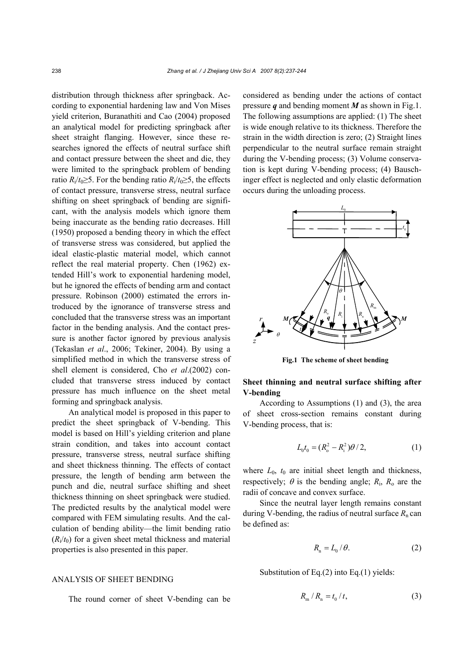distribution through thickness after springback. According to exponential hardening law and Von Mises yield criterion, Buranathiti and Cao (2004) proposed an analytical model for predicting springback after sheet straight flanging. However, since these researches ignored the effects of neutral surface shift and contact pressure between the sheet and die, they were limited to the springback problem of bending ratio  $R_i/t_0 \geq 5$ . For the bending ratio  $R_i/t_0 \geq 5$ , the effects of contact pressure, transverse stress, neutral surface shifting on sheet springback of bending are significant, with the analysis models which ignore them being inaccurate as the bending ratio decreases. Hill (1950) proposed a bending theory in which the effect of transverse stress was considered, but applied the ideal elastic-plastic material model, which cannot reflect the real material property. Chen (1962) extended Hill's work to exponential hardening model, but he ignored the effects of bending arm and contact pressure. Robinson (2000) estimated the errors introduced by the ignorance of transverse stress and concluded that the transverse stress was an important factor in the bending analysis. And the contact pressure is another factor ignored by previous analysis (Tekaslan *et al*., 2006; Tekiner, 2004). By using a simplified method in which the transverse stress of shell element is considered, Cho *et al*.(2002) concluded that transverse stress induced by contact pressure has much influence on the sheet metal forming and springback analysis.

An analytical model is proposed in this paper to predict the sheet springback of V-bending. This model is based on Hill's yielding criterion and plane strain condition, and takes into account contact pressure, transverse stress, neutral surface shifting and sheet thickness thinning. The effects of contact pressure, the length of bending arm between the punch and die, neutral surface shifting and sheet thickness thinning on sheet springback were studied. The predicted results by the analytical model were compared with FEM simulating results. And the calculation of bending ability—the limit bending ratio  $(R<sub>i</sub>/t<sub>0</sub>)$  for a given sheet metal thickness and material properties is also presented in this paper.

# ANALYSIS OF SHEET BENDING

The round corner of sheet V-bending can be

considered as bending under the actions of contact pressure *q* and bending moment *M* as shown in Fig.1. The following assumptions are applied: (1) The sheet is wide enough relative to its thickness. Therefore the strain in the width direction is zero; (2) Straight lines perpendicular to the neutral surface remain straight during the V-bending process; (3) Volume conservation is kept during V-bending process; (4) Bauschinger effect is neglected and only elastic deformation occurs during the unloading process.



**Fig.1 The scheme of sheet bending**

**Sheet thinning and neutral surface shifting after V-bending**

According to Assumptions (1) and (3), the area of sheet cross-section remains constant during V-bending process, that is:

$$
L_0 t_0 = (R_o^2 - R_i^2)\theta/2, \qquad (1)
$$

where  $L_0$ ,  $t_0$  are initial sheet length and thickness, respectively;  $\theta$  is the bending angle;  $R_i$ ,  $R_o$  are the radii of concave and convex surface.

Since the neutral layer length remains constant during V-bending, the radius of neutral surface  $R_n$  can be defined as:

$$
R_{n} = L_{0} / \theta. \tag{2}
$$

Substitution of Eq.(2) into Eq.(1) yields:

$$
R_{\rm m}/R_{\rm n} = t_0/t,\tag{3}
$$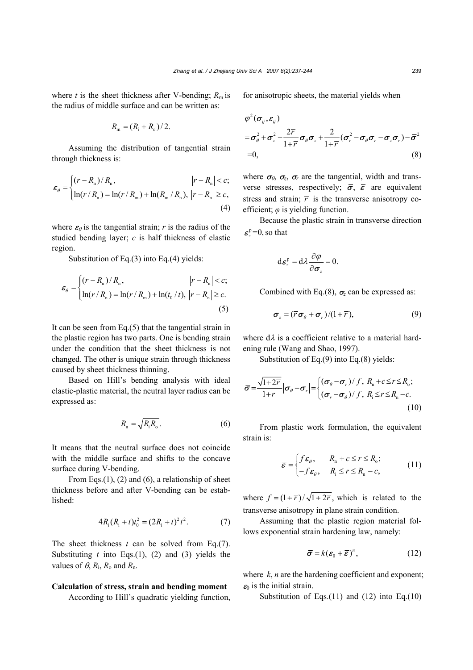where *t* is the sheet thickness after V-bending;  $R_m$  is the radius of middle surface and can be written as:

$$
R_{\rm m} = (R_{\rm i} + R_{\rm o})/2.
$$

Assuming the distribution of tangential strain through thickness is:

$$
\varepsilon_{\theta} = \begin{cases} (r - R_{\rm n}) / R_{\rm n}, & |r - R_{\rm n}| < c; \\ \ln(r / R_{\rm n}) = \ln(r / R_{\rm m}) + \ln(R_{\rm m} / R_{\rm n}), & |r - R_{\rm n}| \ge c, \\ (4) \end{cases}
$$

where  $\varepsilon_{\theta}$  is the tangential strain; *r* is the radius of the studied bending layer; *c* is half thickness of elastic region.

Substitution of Eq.(3) into Eq.(4) yields:

$$
\varepsilon_{\theta} = \begin{cases} (r - R_{\rm n}) / R_{\rm n}, & |r - R_{\rm n}| < c; \\ \ln(r / R_{\rm n}) = \ln(r / R_{\rm m}) + \ln(t_0 / t), & |r - R_{\rm n}| \ge c. \\ 5) \end{cases}
$$

It can be seen from Eq. $(5)$  that the tangential strain in the plastic region has two parts. One is bending strain under the condition that the sheet thickness is not changed. The other is unique strain through thickness caused by sheet thickness thinning.

Based on Hill's bending analysis with ideal elastic-plastic material, the neutral layer radius can be expressed as:

$$
R_{\rm n} = \sqrt{R_{\rm i} R_{\rm o}}.\tag{6}
$$

It means that the neutral surface does not coincide with the middle surface and shifts to the concave surface during V-bending.

From Eqs.(1), (2) and (6), a relationship of sheet thickness before and after V-bending can be established:

$$
4R_i(R_i + t)t_0^2 = (2R_i + t)^2 t^2.
$$
 (7)

The sheet thickness *t* can be solved from Eq.(7). Substituting  $t$  into Eqs.(1), (2) and (3) yields the values of  $\theta$ ,  $R_i$ ,  $R_o$  and  $R_n$ .

## **Calculation of stress, strain and bending moment**

According to Hill's quadratic yielding function,

for anisotropic sheets, the material yields when

$$
\varphi^2(\sigma_{ij}, \varepsilon_{ij})
$$
\n
$$
= \sigma_{\theta}^2 + \sigma_z^2 - \frac{2\overline{r}}{1 + \overline{r}} \sigma_{\theta} \sigma_z + \frac{2}{1 + \overline{r}} (\sigma_r^2 - \sigma_{\theta} \sigma_r - \sigma_z \sigma_r) - \overline{\sigma}^2
$$
\n
$$
= 0,
$$
\n(8)

where  $\sigma_{\beta}$ ,  $\sigma_{\overline{z}}$ ,  $\sigma_{\overline{r}}$  are the tangential, width and transverse stresses, respectively;  $\bar{\sigma}$ ,  $\bar{\epsilon}$  are equivalent stress and strain;  $\overline{r}$  is the transverse anisotropy coefficient; *φ* is yielding function.

Because the plastic strain in transverse direction  $\epsilon_z^{\rm p}$ =0, so that

$$
d\boldsymbol{\varepsilon}_{z}^{p}=d\lambda\frac{\partial\varphi}{\partial\boldsymbol{\sigma}_{z}}=0.
$$

Combined with Eq.(8),  $\sigma$ <sub>z</sub> can be expressed as:

$$
\boldsymbol{\sigma}_z = (\overline{r}\boldsymbol{\sigma}_\theta + \boldsymbol{\sigma}_r)/(1+\overline{r}),\tag{9}
$$

where  $d\lambda$  is a coefficient relative to a material hardening rule (Wang and Shao, 1997).

Substitution of Eq.(9) into Eq.(8) yields:

$$
\bar{\sigma} = \frac{\sqrt{1+2r}}{1+\bar{r}} \left| \sigma_{\theta} - \sigma_{r} \right| = \begin{cases} (\sigma_{\theta} - \sigma_{r})/f, R_{n} + c \leq r \leq R_{o}; \\ (\sigma_{r} - \sigma_{\theta})/f, R_{i} \leq r \leq R_{n} - c. \end{cases}
$$
\n(10)

From plastic work formulation, the equivalent strain is:

$$
\overline{\mathbf{\varepsilon}} = \begin{cases} f \mathbf{\varepsilon}_{\theta}, & R_{n} + c \leq r \leq R_{o}; \\ -f \mathbf{\varepsilon}_{\theta}, & R_{i} \leq r \leq R_{n} - c, \end{cases}
$$
 (11)

where  $f = (1 + \overline{r}) / \sqrt{1 + 2\overline{r}}$ , which is related to the transverse anisotropy in plane strain condition.

Assuming that the plastic region material follows exponential strain hardening law, namely:

$$
\bar{\boldsymbol{\sigma}} = k(\boldsymbol{\varepsilon}_0 + \bar{\boldsymbol{\varepsilon}})^n, \qquad (12)
$$

where  $k$ , *n* are the hardening coefficient and exponent;  $\varepsilon_0$  is the initial strain.

Substitution of Eqs.(11) and (12) into Eq.(10)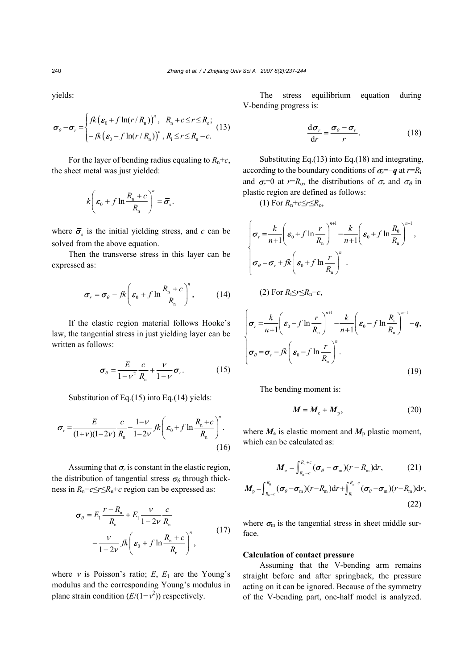yields:

$$
\boldsymbol{\sigma}_{\theta} - \boldsymbol{\sigma}_{r} = \begin{cases} f k \left( \boldsymbol{\varepsilon}_{0} + f \ln(r/R_{\rm n}) \right)^{n}, & R_{\rm n} + c \leq r \leq R_{\rm o}; \\ -f k \left( \boldsymbol{\varepsilon}_{0} - f \ln(r/R_{\rm n}) \right)^{n}, & R_{\rm i} \leq r \leq R_{\rm n} - c. \end{cases}
$$
(13)

For the layer of bending radius equaling to  $R_n+c$ , the sheet metal was just yielded:

$$
k\left(\boldsymbol{\varepsilon}_0 + f \ln \frac{R_{\rm n} + c}{R_{\rm n}}\right)^n = \boldsymbol{\overline{\sigma}}_{\rm s}.
$$

where  $\bar{\sigma}_{s}$  is the initial yielding stress, and *c* can be solved from the above equation.

Then the transverse stress in this layer can be expressed as:

$$
\boldsymbol{\sigma}_r = \boldsymbol{\sigma}_\theta - f k \left( \boldsymbol{\varepsilon}_0 + f \ln \frac{R_{\rm n} + c}{R_{\rm n}} \right)^n, \qquad (14)
$$

If the elastic region material follows Hooke's law, the tangential stress in just yielding layer can be written as follows:

$$
\boldsymbol{\sigma}_{\theta} = \frac{E}{1 - v^2} \frac{c}{R_n} + \frac{v}{1 - v} \boldsymbol{\sigma}_r.
$$
 (15)

Substitution of Eq.(15) into Eq.(14) yields:

$$
\sigma_r = \frac{E}{(1+v)(1-2v)} \frac{c}{R_n} - \frac{1-v}{1-2v} f k \left( \varepsilon_0 + f \ln \frac{R_n + c}{R_n} \right)^n.
$$
\n(16)

Assuming that  $\sigma_r$  is constant in the elastic region, the distribution of tangential stress  $\sigma_{\theta}$  through thickness in *R*n−*c*≤*r*≤*R*n+*c* region can be expressed as:

$$
\sigma_{\theta} = E_1 \frac{r - R_n}{R_n} + E_1 \frac{v}{1 - 2v} \frac{c}{R_n}
$$
  
 
$$
- \frac{v}{1 - 2v} f k \left( \varepsilon_0 + f \ln \frac{R_n + c}{R_n} \right)^n, \qquad (17)
$$

where  $\nu$  is Poisson's ratio; *E*, *E*<sub>1</sub> are the Young's modulus and the corresponding Young's modulus in plane strain condition  $(E/(1-\nu^2))$  respectively.

The stress equilibrium equation during V-bending progress is:

$$
\frac{\mathrm{d}\sigma_r}{\mathrm{d}r} = \frac{\sigma_\theta - \sigma_r}{r}.\tag{18}
$$

Substituting Eq.(13) into Eq.(18) and integrating, according to the boundary conditions of  $\sigma_r = -q$  at  $r=R_i$ and  $\sigma_r = 0$  at  $r = R_0$ , the distributions of  $\sigma_r$  and  $\sigma_\theta$  in plastic region are defined as follows:

(1) For  $R_n + c \leq r \leq R_0$ ,

$$
\begin{cases}\n\sigma_r = \frac{k}{n+1} \left( \varepsilon_0 + f \ln \frac{r}{R_n} \right)^{n+1} - \frac{k}{n+1} \left( \varepsilon_0 + f \ln \frac{R_0}{R_n} \right)^{n+1}, \\
\sigma_\theta = \sigma_r + f k \left( \varepsilon_0 + f \ln \frac{r}{R_n} \right)^n .\n\end{cases}
$$
\n(2) For  $R_i \le r \le R_n - c$ ,\n
$$
\begin{cases}\n\sigma_r = \frac{k}{n+1} \left( \varepsilon_0 - f \ln \frac{r}{R_n} \right)^{n+1} - \frac{k}{n+1} \left( \varepsilon_0 - f \ln \frac{R_i}{R_n} \right)^{n+1} - q,
$$

$$
\begin{vmatrix} \sigma_r = \frac{r}{n+1} \left( \frac{\mathbf{E}_0 - f \ln \frac{r}{R_n}}{\mathbf{E}_0} \right) & -\frac{r}{n+1} \left( \frac{\mathbf{E}_0 - f \ln \frac{r}{R_n}}{\mathbf{E}_0} \right) & -\frac{q}{R_n} \end{vmatrix}
$$
\n
$$
\sigma_\theta = \sigma_r - \frac{f}{R} \left( \frac{\mathbf{E}_0 - f \ln \frac{r}{R_n}}{\mathbf{E}_0} \right)^n.
$$
\n(19)

The bending moment is:

$$
M = M_{\rm e} + M_{\rm p},\tag{20}
$$

where  $M_e$  is elastic moment and  $M_p$  plastic moment, which can be calculated as:

$$
\boldsymbol{M}_{\rm e} = \int_{R_{\rm n}-c}^{R_{\rm n}+c} (\boldsymbol{\sigma}_{\theta} - \boldsymbol{\sigma}_{\rm m}) (r - R_{\rm m}) \mathrm{d}r, \tag{21}
$$

$$
M_{\rm p} = \int_{R_{\rm n}+c}^{R_{\rm 0}} (\sigma_{\theta} - \sigma_{\rm m}) (r - R_{\rm m}) \mathrm{d}r + \int_{R_{\rm i}}^{R_{\rm n}-c} (\sigma_{\theta} - \sigma_{\rm m}) (r - R_{\rm m}) \mathrm{d}r, \tag{22}
$$

where  $\sigma_{\rm m}$  is the tangential stress in sheet middle surface.

#### **Calculation of contact pressure**

Assuming that the V-bending arm remains straight before and after springback, the pressure acting on it can be ignored. Because of the symmetry of the V-bending part, one-half model is analyzed.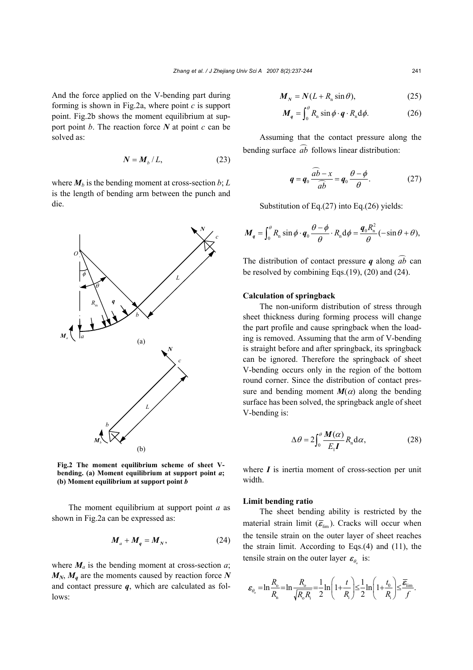And the force applied on the V-bending part during forming is shown in Fig.2a, where point *c* is support point. Fig.2b shows the moment equilibrium at support point *b*. The reaction force *N* at point *c* can be solved as:

$$
N = M_b / L, \tag{23}
$$

where  $M_b$  is the bending moment at cross-section  $b$ ;  $L$ is the length of bending arm between the punch and die.



**Fig.2 The moment equilibrium scheme of sheet Vbending. (a) Moment equilibrium at support point** *a***; (b) Moment equilibrium at support point** *b*

The moment equilibrium at support point *a* as shown in Fig.2a can be expressed as:

$$
M_a + M_q = M_N, \qquad (24)
$$

where  $M_a$  is the bending moment at cross-section  $a$ ;  $M_N$ ,  $M_q$  are the moments caused by reaction force N and contact pressure  $q$ , which are calculated as follows:

$$
M_N = N(L + R_n \sin \theta), \tag{25}
$$

$$
M_q = \int_0^\theta R_n \sin \phi \cdot q \cdot R_n d\phi. \tag{26}
$$

Assuming that the contact pressure along the bending surface *ab* follows linear distribution:

$$
q = q_0 \frac{\widehat{ab} - x}{\widehat{ab}} = q_0 \frac{\theta - \phi}{\theta}.
$$
 (27)

Substitution of Eq.(27) into Eq.(26) yields:

$$
\boldsymbol{M}_q = \int_0^\theta R_n \sin \phi \cdot \boldsymbol{q}_0 \frac{\theta - \phi}{\theta} \cdot R_n d\phi = \frac{\boldsymbol{q}_0 R_n^2}{\theta} (-\sin \theta + \theta),
$$

The distribution of contact pressure *q* along  $\widehat{ab}$  can be resolved by combining Eqs.(19), (20) and (24).

#### **Calculation of springback**

The non-uniform distribution of stress through sheet thickness during forming process will change the part profile and cause springback when the loading is removed. Assuming that the arm of V-bending is straight before and after springback, its springback can be ignored. Therefore the springback of sheet V-bending occurs only in the region of the bottom round corner. Since the distribution of contact pressure and bending moment  $M(\alpha)$  along the bending surface has been solved, the springback angle of sheet V-bending is:

$$
\Delta \theta = 2 \int_0^{\theta} \frac{M(\alpha)}{E_1 I} R_n \, \mathrm{d}\alpha, \tag{28}
$$

where  $I$  is inertia moment of cross-section per unit width.

#### **Limit bending ratio**

The sheet bending ability is restricted by the material strain limit  $(\bar{\epsilon}_{\text{lim}})$ . Cracks will occur when the tensile strain on the outer layer of sheet reaches the strain limit. According to Eqs.(4) and (11), the tensile strain on the outer layer  $\epsilon_{\theta_0}$  is:

$$
\varepsilon_{\theta_0} = \ln \frac{R_{\text{o}}}{R_{\text{n}}} = \ln \frac{R_{\text{o}}}{\sqrt{R_{\text{o}} R_{\text{i}}}} = \frac{1}{2} \ln \left( 1 + \frac{t}{R_{\text{i}}} \right) \le \frac{1}{2} \ln \left( 1 + \frac{t_0}{R_{\text{i}}} \right) \le \frac{\overline{\varepsilon}_{\text{lim}}}{f}.
$$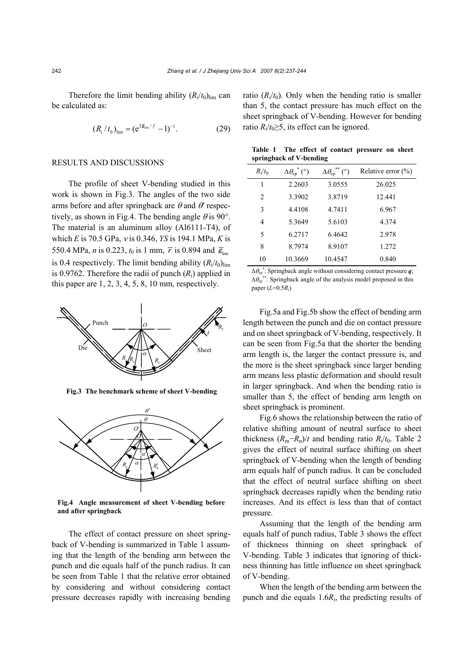Therefore the limit bending ability  $(R_i/t_0)_{\text{lim}}$  can be calculated as:

$$
(R_{i}/t_{0})_{\text{lim}} = (e^{2\overline{\mathbf{g}}_{\text{lim}}/f} - 1)^{-1}.
$$
 (29)

## RESULTS AND DISCUSSIONS

The profile of sheet V-bending studied in this work is shown in Fig.3. The angles of the two side arms before and after springback are  $\theta$  and  $\theta'$  respectively, as shown in Fig.4. The bending angle  $\theta$  is 90°. The material is an aluminum alloy (Al6111-T4), of which *E* is 70.5 GPa, ν is 0.346, *YS* is 194.1 MPa, *K* is 550.4 MPa, *n* is 0.223,  $t_0$  is 1 mm,  $\overline{r}$  is 0.894 and  $\overline{\mathbf{\varepsilon}}_{\text{lim}}$ is 0.4 respectively. The limit bending ability  $(R_i/t_0)_{\text{lim}}$ is 0.9762. Therefore the radii of punch  $(R<sub>i</sub>)$  applied in this paper are  $1, 2, 3, 4, 5, 8, 10$  mm, respectively.



**Fig.3 The benchmark scheme of sheet V-bending**



**Fig.4 Angle measurement of sheet V-bending before and after springback**

The effect of contact pressure on sheet springback of V-bending is summarized in Table 1 assuming that the length of the bending arm between the punch and die equals half of the punch radius. It can be seen from Table 1 that the relative error obtained by considering and without considering contact pressure decreases rapidly with increasing bending ratio  $(R_i/t_0)$ . Only when the bending ratio is smaller than 5, the contact pressure has much effect on the sheet springback of V-bending. However for bending ratio  $R_i/t_0 \geq 5$ , its effect can be ignored.

**Table 1 The effect of contact pressure on sheet springback of V-bending** 

| $R_i/t_0$      | $\Delta\theta_{\rm cp}^{\;\;*}$ (°) | $\Delta \theta_{\rm cp}^{**}$ (°) | Relative error $(\% )$ |
|----------------|-------------------------------------|-----------------------------------|------------------------|
| 1              | 2.2603                              | 3.0555                            | 26.025                 |
| $\overline{c}$ | 3.3902                              | 3.8719                            | 12.441                 |
| 3              | 4.4108                              | 4.7411                            | 6.967                  |
| $\overline{4}$ | 5.3649                              | 5.6103                            | 4.374                  |
| 5              | 6.2717                              | 6.4642                            | 2.978                  |
| 8              | 8.7974                              | 8.9107                            | 1.272                  |
| 10             | 10.3669                             | 10.4547                           | 0.840                  |

 $\Delta \theta_{cp}^*$ : Springback angle without considering contact pressure *q*;  $\Delta \theta_{\rm c}$ <sup>\*\*</sup>: Springback angle of the analysis model proposed in this paper  $(L=0.5R_i)$ 

Fig.5a and Fig.5b show the effect of bending arm length between the punch and die on contact pressure and on sheet springback of V-bending, respectively. It can be seen from Fig.5a that the shorter the bending arm length is, the larger the contact pressure is, and the more is the sheet springback since larger bending arm means less plastic deformation and should result in larger springback. And when the bending ratio is smaller than 5, the effect of bending arm length on sheet springback is prominent.

Fig.6 shows the relationship between the ratio of relative shifting amount of neutral surface to sheet thickness  $(R_m-R_n)/t$  and bending ratio  $R_i/t_0$ . Table 2 gives the effect of neutral surface shifting on sheet springback of V-bending when the length of bending arm equals half of punch radius. It can be concluded that the effect of neutral surface shifting on sheet springback decreases rapidly when the bending ratio increases. And its effect is less than that of contact pressure.

Assuming that the length of the bending arm equals half of punch radius, Table 3 shows the effect of thickness thinning on sheet springback of V-bending. Table 3 indicates that ignoring of thickness thinning has little influence on sheet springback of V-bending.

When the length of the bending arm between the punch and die equals 1.6*R*i, the predicting results of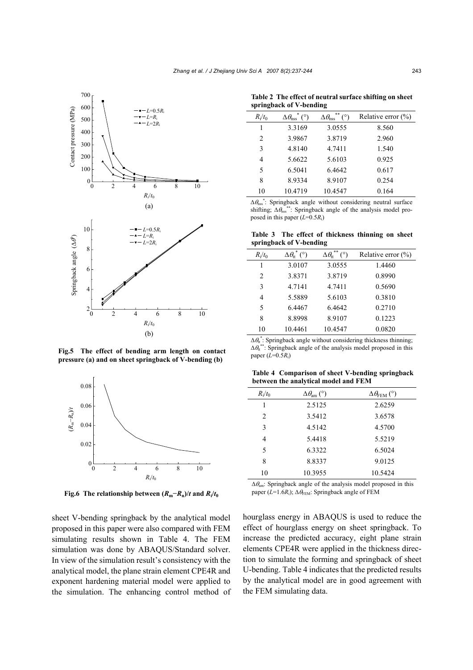

**Fig.5 The effect of bending arm length on contact pressure (a) and on sheet springback of V-bending (b)**



**Fig.6** The relationship between  $(R_m - R_n)/t$  and  $R_i/t_0$ 

sheet V-bending springback by the analytical model proposed in this paper were also compared with FEM simulating results shown in Table 4. The FEM simulation was done by ABAQUS/Standard solver. In view of the simulation result's consistency with the analytical model, the plane strain element CPE4R and exponent hardening material model were applied to the simulation. The enhancing control method of

**Table 2 The effect of neutral surface shifting on sheet springback of V-bending** 

| $R_i/t_0$                     | $^{\circ}$ (°)<br>$\Delta \theta_{\rm nss}$ | **<br>$(^\circ)$<br>$\Delta \theta_{\rm nss}$ | Relative error $(\%)$ |
|-------------------------------|---------------------------------------------|-----------------------------------------------|-----------------------|
| 1                             | 3.3169                                      | 3.0555                                        | 8.560                 |
| $\mathfrak{D}_{\mathfrak{p}}$ | 3.9867                                      | 3.8719                                        | 2.960                 |
| 3                             | 4.8140                                      | 4.7411                                        | 1.540                 |
| 4                             | 5.6622                                      | 5.6103                                        | 0.925                 |
| 5                             | 6.5041                                      | 6.4642                                        | 0.617                 |
| 8                             | 8.9334                                      | 8.9107                                        | 0.254                 |
| 10                            | 10.4719                                     | 10.4547                                       | 0.164                 |
|                               |                                             |                                               |                       |

 $\Delta \theta_{\text{ns}}^*$ : Springback angle without considering neutral surface shifting;  $\Delta\theta_{\text{nss}}^{**}$ : Springback angle of the analysis model proposed in this paper (*L*=0.5*R*i)

**Table 3 The effect of thickness thinning on sheet springback of V-bending** 

| $R_i/t_0$      | $\Delta \theta_{\rm tt}^*$ (°) | **<br>$(^\circ)$<br>$\Delta \theta_{\rm tr}$ | Relative error $(\% )$ |
|----------------|--------------------------------|----------------------------------------------|------------------------|
| 1              | 3.0107                         | 3.0555                                       | 1.4460                 |
| $\overline{c}$ | 3.8371                         | 3.8719                                       | 0.8990                 |
| 3              | 4.7141                         | 4.7411                                       | 0.5690                 |
| 4              | 5.5889                         | 5.6103                                       | 0.3810                 |
| 5              | 6.4467                         | 6.4642                                       | 0.2710                 |
| 8              | 8.8998                         | 8.9107                                       | 0.1223                 |
| 10             | 10.4461                        | 10.4547                                      | 0.0820                 |

 $\Delta \theta_{\text{tt}}^*$ : Springback angle without considering thickness thinning;  $\Delta \theta_{\text{tt}}^{**}$ : Springback angle of the analysis model proposed in this paper  $(L=0.5R_i)$ 

**Table 4 Comparison of sheet V-bending springback between the analytical model and FEM** 

| $R_i/t_0$      | $\Delta \theta_{\rm am}$ (°) | $\Delta\theta_{\rm FEM}$ (°) |
|----------------|------------------------------|------------------------------|
| 1              | 2.5125                       | 2.6259                       |
| $\overline{c}$ | 3.5412                       | 3.6578                       |
| 3              | 4.5142                       | 4.5700                       |
| 4              | 5.4418                       | 5.5219                       |
| 5              | 6.3322                       | 6.5024                       |
| 8              | 8.8337                       | 9.0125                       |
| 10             | 10.3955                      | 10.5424                      |

 $\Delta \theta_{\text{am}}$ : Springback angle of the analysis model proposed in this paper ( $L=1.6R_i$ );  $\Delta\theta_{\text{FEM}}$ : Springback angle of FEM

hourglass energy in ABAQUS is used to reduce the effect of hourglass energy on sheet springback. To increase the predicted accuracy, eight plane strain elements CPE4R were applied in the thickness direction to simulate the forming and springback of sheet U-bending. Table 4 indicates that the predicted results by the analytical model are in good agreement with the FEM simulating data.